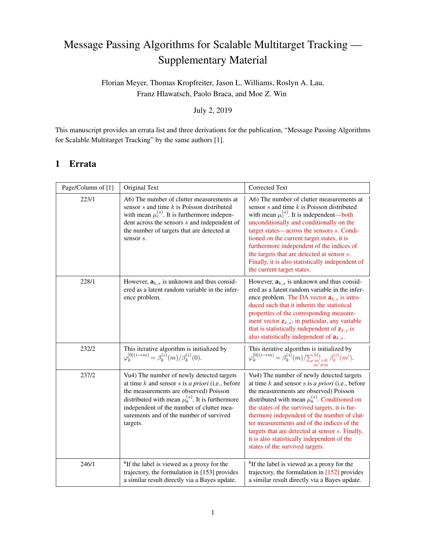# Message Passing Algorithms for Scalable Multitarget Tracking — Supplementary Material

Florian Meyer, Thomas Kropfreiter, Jason L. Williams, Roslyn A. Lau, Franz Hlawatsch, Paolo Braca, and Moe Z. Win

July 2, 2019

This manuscript provides an errata list and three derivations for the publication, "Message Passing Algorithms for Scalable Multitarget Tracking" by the same authors [1].

# 1 Errata

| Page/Column of [1] | Original Text                                                                                                                                                                                                                                                                                              | <b>Corrected Text</b>                                                                                                                                                                                                                                                                                                                                                                                                                                                                   |
|--------------------|------------------------------------------------------------------------------------------------------------------------------------------------------------------------------------------------------------------------------------------------------------------------------------------------------------|-----------------------------------------------------------------------------------------------------------------------------------------------------------------------------------------------------------------------------------------------------------------------------------------------------------------------------------------------------------------------------------------------------------------------------------------------------------------------------------------|
| 223/1              | A6) The number of clutter measurements at<br>sensor $s$ and time $k$ is Poisson distributed<br>with mean $\mu_c^{(s)}$ . It is furthermore indepen-<br>dent across the sensors $s$ and independent of<br>the number of targets that are detected at<br>sensor s.                                           | A6) The number of clutter measurements at<br>sensor $s$ and time $k$ is Poisson distributed<br>with mean $\mu_c^{(s)}$ . It is independent—both<br>unconditionally and conditionally on the<br>target states-across the sensors s. Condi-<br>tioned on the current target states, it is<br>furthermore independent of the indices of<br>the targets that are detected at sensor s.<br>Finally, it is also statistically independent of<br>the current target states.                    |
| 228/1              | However, $a_{k,s}$ is unknown and thus consid-<br>ered as a latent random variable in the infer-<br>ence problem.                                                                                                                                                                                          | However, $a_{k,s}$ is unknown and thus consid-<br>ered as a latent random variable in the infer-<br>ence problem. The DA vector $a_{k,s}$ is intro-<br>duced such that it inherits the statistical<br>properties of the corresponding measure-<br>ment vector $z_{k,s}$ ; in particular, any variable<br>that is statistically independent of $z_{k,s}$ is<br>also statistically independent of $a_{k,s}$ .                                                                             |
| 232/2              | This iterative algorithm is initialized by<br>$\varphi_k^{[0](i \to m)} = \beta_k^{(i)}(m)/\beta_k^{(i)}(0).$                                                                                                                                                                                              | This iterative algorithm is initialized by<br>$\varphi_k^{[0](i\to m)} = \beta_k^{(i)}(m)/{\sum_{\substack{m' = 0 \\ m' \neq m}}^{M_k} \beta_k^{(i)}(m')}.$                                                                                                                                                                                                                                                                                                                             |
| 237/2              | Vu4) The number of newly detected targets<br>at time $k$ and sensor $s$ is a priori (i.e., before<br>the measurements are observed) Poisson<br>distributed with mean $\mu_n^{(s)}$ . It is furthermore<br>independent of the number of clutter mea-<br>surements and of the number of survived<br>targets. | Vu4) The number of newly detected targets<br>at time $k$ and sensor $s$ is a priori (i.e., before<br>the measurements are observed) Poisson<br>distributed with mean $\mu_n^{(s)}$ . Conditioned on<br>the states of the survived targets, it is fur-<br>thermore independent of the number of clut-<br>ter measurements and of the indices of the<br>targets that are detected at sensor s. Finally,<br>it is also statistically independent of the<br>states of the survived targets. |
| 246/1              | <sup>8</sup> If the label is viewed as a proxy for the<br>trajectory, the formulation in [153] provides<br>a similar result directly via a Bayes update.                                                                                                                                                   | <sup>8</sup> If the label is viewed as a proxy for the<br>trajectory, the formulation in [152] provides<br>a similar result directly via a Bayes update.                                                                                                                                                                                                                                                                                                                                |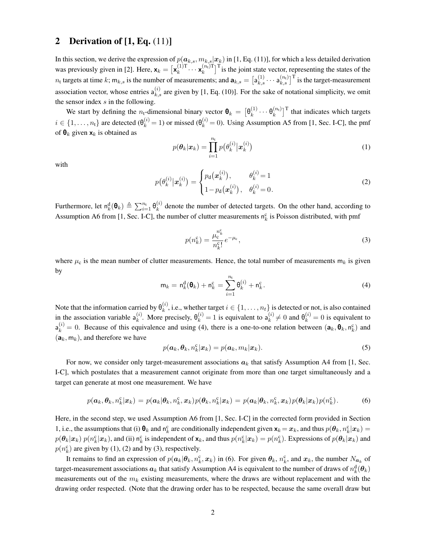#### 2 Derivation of  $[1, Eq. (11)]$

In this section, we derive the expression of  $p(a_{k,s}, m_{k,s} | x_k)$  in [1, Eq. (11)], for which a less detailed derivation was previously given in [2]. Here,  $\mathbf{x}_k = [\mathbf{x}_k^{(1)T} \cdots \mathbf{x}_k^{(n_t)T}]$  ${k \choose k}$ <sup>T</sup> is the joint state vector, representing the states of the  $n_t$  targets at time  $k$ ;  $m_{k,s}$  is the number of measurements; and  $a_{k,s} = \left[a_{k,s}^{(1)} \cdots a_{k,s}^{(n_t)}\right]^T$  is the target-measurement association vector, whose entries  $a_{k,s}^{(i)}$  are given by [1, Eq. (10)]. For the sake of notational simplicity, we omit the sensor index *s* in the following.

We start by defining the *n*<sub>t</sub>-dimensional binary vector  $\mathbf{\theta}_k = \left[\theta_k^{(1)} \cdots \theta_k^{(n_k)}\right]$  $\binom{n_t}{k}$ <sup>T</sup> that indicates which targets  $i \in \{1, \ldots, n_t\}$  are detected  $(\theta_k^{(i)} = 1)$  or missed  $(\theta_k^{(i)} = 0)$ . Using Assumption A5 from [1, Sec. I-C], the pmf of  $\mathbf{\Theta}_k$  given  $\mathbf{x}_k$  is obtained as

$$
p(\boldsymbol{\theta}_k|\boldsymbol{x}_k) = \prod_{i=1}^{n_t} p(\theta_k^{(i)}|\boldsymbol{x}_k^{(i)})
$$
\n(1)

with

$$
p(\theta_k^{(i)} | \mathbf{x}_k^{(i)}) = \begin{cases} p_{\mathbf{d}}(\mathbf{x}_k^{(i)}), & \theta_k^{(i)} = 1 \\ 1 - p_{\mathbf{d}}(\mathbf{x}_k^{(i)}), & \theta_k^{(i)} = 0. \end{cases}
$$
(2)

Furthermore, let  $n_k^d(\theta_k) \triangleq \sum_{i=1}^{n_k} \theta_k^{(i)}$  denote the number of detected targets. On the other hand, according to Assumption A6 from [1, Sec. I-C], the number of clutter measurements  $n_k^c$  is Poisson distributed, with pmf

$$
p(n_k^c) = \frac{\mu_c^{n_k^c}}{n_k^c!} e^{-\mu_c},
$$
\n(3)

where  $\mu_c$  is the mean number of clutter measurements. Hence, the total number of measurements  $m_k$  is given by

$$
\mathsf{m}_k = \mathsf{n}_k^{\mathsf{d}}(\mathbf{\theta}_k) + \mathsf{n}_k^{\mathsf{c}} = \sum_{i=1}^{n_{\mathsf{t}}} \mathsf{\theta}_k^{(i)} + \mathsf{n}_k^{\mathsf{c}}.
$$
 (4)

Note that the information carried by  $\theta_k^{(i)}$ , i.e., whether target  $i \in \{1, \ldots, n_t\}$  is detected or not, is also contained in the association variable  $a_k^{(i)}$ . More precisely,  $\theta_k^{(i)} = 1$  is equivalent to  $a_k^{(i)} \neq 0$  and  $\theta_k^{(i)} = 0$  is equivalent to  $a_k^{(i)} = 0$ . Because of this equivalence and using (4), there is a one-to-one relation between  $(a_k, \theta_k, n_k^c)$  and  $(a_k, m_k)$ , and therefore we have

$$
p(\boldsymbol{a}_k, \boldsymbol{\theta}_k, n_k^c | \boldsymbol{x}_k) = p(\boldsymbol{a}_k, m_k | \boldsymbol{x}_k).
$$
\n(5)

For now, we consider only target-measurement associations  $a_k$  that satisfy Assumption A4 from [1, Sec. I-C], which postulates that a measurement cannot originate from more than one target simultaneously and a target can generate at most one measurement. We have

$$
p(\boldsymbol{a}_k, \boldsymbol{\theta}_k, n_k^c | \boldsymbol{x}_k) = p(\boldsymbol{a}_k | \boldsymbol{\theta}_k, n_k^c, \boldsymbol{x}_k) p(\boldsymbol{\theta}_k, n_k^c | \boldsymbol{x}_k) = p(\boldsymbol{a}_k | \boldsymbol{\theta}_k, n_k^c, \boldsymbol{x}_k) p(\boldsymbol{\theta}_k | \boldsymbol{x}_k) p(n_k^c).
$$
 (6)

Here, in the second step, we used Assumption A6 from [1, Sec. I-C] in the corrected form provided in Section 1, i.e., the assumptions that (i)  $\mathbf{\theta}_k$  and  $\mathbf{n}_k^c$  are conditionally independent given  $\mathbf{x}_k = \mathbf{x}_k$ , and thus  $p(\theta_k, n_k^c | \mathbf{x}_k) =$  $p(\theta_k|\mathbf{x}_k) p(n_k^c|\mathbf{x}_k)$ , and (ii)  $n_k^c$  is independent of  $\mathbf{x}_k$ , and thus  $p(n_k^c|\mathbf{x}_k) = p(n_k^c)$ . Expressions of  $p(\theta_k|\mathbf{x}_k)$  and  $p(n_k^c)$  are given by (1), (2) and by (3), respectively.

It remains to find an expression of  $p(a_k|\theta_k, n_k^c, x_k)$  in (6). For given  $\theta_k$ ,  $n_k^c$ , and  $x_k$ , the number  $N_{a_k}$  of target-measurement associations  $a_k$  that satisfy Assumption A4 is equivalent to the number of draws of  $n_k^{\rm d}(\theta_k)$ measurements out of the *m<sup>k</sup>* existing measurements, where the draws are without replacement and with the drawing order respected. (Note that the drawing order has to be respected, because the same overall draw but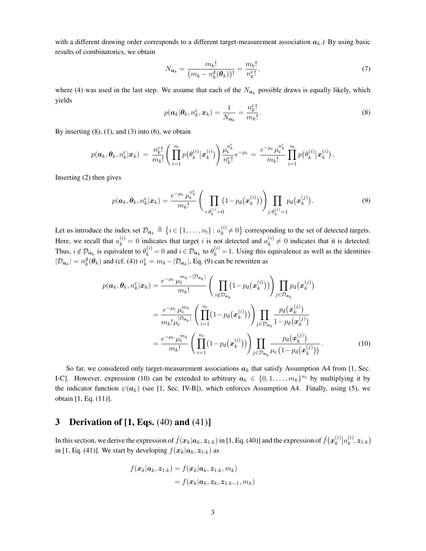with a different drawing order corresponds to a different target-measurement association  $a_k$ .) By using basic results of combinatorics, we obtain

$$
N_{a_k} = \frac{m_k!}{\left(m_k - n_k^{\mathrm{d}}(\boldsymbol{\theta}_k)\right)!} = \frac{m_k!}{n_k^{\mathrm{c}}!},\tag{7}
$$

where (4) was used in the last step. We assume that each of the  $N_{a_k}$  possible draws is equally likely, which yields

$$
p(\boldsymbol{a}_k|\boldsymbol{\theta}_k, n_k^c, \boldsymbol{x}_k) = \frac{1}{N_{\boldsymbol{a}_k}} = \frac{n_k^c!}{m_k!}.
$$
\n(8)

By inserting  $(8)$ ,  $(1)$ , and  $(3)$  into  $(6)$ , we obtain

$$
p(\boldsymbol{a}_k,\boldsymbol{\theta}_k,n_k^{\text{c}}|\boldsymbol{x}_k) \,=\, \frac{n_k^{\text{c}}!}{m_k!}\Bigg(\prod_{i=1}^{n_{\text{t}}}p\big(\theta_k^{(i)}\big|\boldsymbol{x}_k^{(i)}\big)\Bigg)\frac{\mu_{\text{c}}^{n_k^{\text{c}}}}{n_k^{\text{c}}!}e^{-\mu_{\text{c}}} \,=\, \frac{e^{-\mu_{\text{c}}}\mu_{\text{c}}^{n_k^{\text{c}}}}{m_k!}\prod_{i=1}^{n_{\text{t}}}p\big(\theta_k^{(i)}\big|\boldsymbol{x}_k^{(i)}\big)\,.
$$

Inserting (2) then gives

$$
p(\boldsymbol{a}_k, \boldsymbol{\theta}_k, n_k^c | \boldsymbol{x}_k) = \frac{e^{-\mu_c} \mu_c^{n_k^c}}{m_k!} \left( \prod_{i: \theta_k^{(i)} = 0} (1 - p_d(\boldsymbol{x}_k^{(i)})) \right) \prod_{j: \theta_k^{(j)} = 1} p_d(\boldsymbol{x}_k^{(j)}).
$$
(9)

Let us introduce the index set  $\mathcal{D}_{a_k} \triangleq \{i \in \{1, ..., n_t\} : a_k^{(i)} \neq 0\}$  corresponding to the set of detected targets. Here, we recall that  $a_k^{(i)} = 0$  indicates that target *i* is not detected and  $a_k^{(i)} \neq 0$  indicates that it is detected. Thus,  $i \notin \mathcal{D}_{a_k}$  is equivalent to  $\theta_k^{(i)} = 0$  and  $i \in \mathcal{D}_{a_k}$  to  $\theta_k^{(i)} = 1$ . Using this equivalence as well as the identities  $|\mathcal{D}_{a_k}| = n_k^d(\theta_k)$  and (cf. (4))  $n_k^c = m_k - |\mathcal{D}_{a_k}|$ , Eq. (9) can be rewritten as

$$
p(\boldsymbol{a}_k, \boldsymbol{\theta}_k, n_k^c | \boldsymbol{x}_k) = \frac{e^{-\mu_c} \mu_c^{m_k - |\mathcal{D}_{\boldsymbol{a}_k}|}}{m_k!} \left( \prod_{i \notin \mathcal{D}_{\boldsymbol{a}_k}} (1 - p_d(\boldsymbol{x}_k^{(i)})) \right) \prod_{j \in \mathcal{D}_{\boldsymbol{a}_k}} p_d(\boldsymbol{x}_k^{(j)})
$$

$$
= \frac{e^{-\mu_c} \mu_c^{m_k}}{m_k! \mu_c^{|\mathcal{D}_{\boldsymbol{a}_k}|}} \left( \prod_{i=1}^{n_t} (1 - p_d(\boldsymbol{x}_k^{(i)})) \right) \prod_{j \in \mathcal{D}_{\boldsymbol{a}_k}} \frac{p_d(\boldsymbol{x}_k^{(j)})}{1 - p_d(\boldsymbol{x}_k^{(j)})}
$$

$$
= \frac{e^{-\mu_c} \mu_c^{m_k}}{m_k!} \left( \prod_{i=1}^{n_t} (1 - p_d(\boldsymbol{x}_k^{(i)})) \right) \prod_{j \in \mathcal{D}_{\boldsymbol{a}_k}} \frac{p_d(\boldsymbol{x}_k^{(j)})}{\mu_c(1 - p_d(\boldsymbol{x}_k^{(j)}))}.
$$
(10)

So far, we considered only target-measurement associations  $a_k$  that satisfy Assumption A4 from [1, Sec. I-C]. However, expression (10) can be extended to arbitrary  $a_k \in \{0, 1, \ldots, m_k\}^{n_t}$  by multiplying it by the indicator function  $\psi(a_k)$  (see [1, Sec. IV-B]), which enforces Assumption A4. Finally, using (5), we obtain [1, Eq. (11)].

### 3 Derivation of  $[1, Eqs. (40)$  and  $(41)]$

In this section, we derive the expression of  $\tilde{f}(\bm{x}_k|\bm{a}_k,\bm{z}_{1:k})$  in [1, Eq. (40)] and the expression of  $\tilde{f}(\bm{x}_k^{(i)}|a_k^{(i)},\bm{z}_{1:k})$ in [1, Eq. (41)]. We start by developing  $f(\mathbf{x}_k | \mathbf{a}_k, \mathbf{z}_{1:k})$  as

$$
f(\boldsymbol{x}_k|\boldsymbol{a}_k,\boldsymbol{z}_{1:k}) = f(\boldsymbol{x}_k|\boldsymbol{a}_k,\boldsymbol{z}_{1:k},m_k)
$$
  
=  $f(\boldsymbol{x}_k|\boldsymbol{a}_k,\boldsymbol{z}_k,\boldsymbol{z}_{1:k-1},m_k)$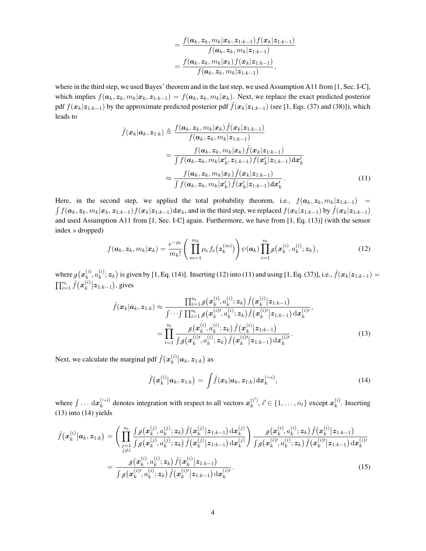$$
=\frac{f(\boldsymbol{a}_{k},\boldsymbol{z}_{k},m_{k}|\boldsymbol{x}_{k},\boldsymbol{z}_{1:k-1})f(\boldsymbol{x}_{k}|\boldsymbol{z}_{1:k-1})}{f(\boldsymbol{a}_{k},\boldsymbol{z}_{k},m_{k}|\boldsymbol{z}_{1:k-1})} \\
=\frac{f(\boldsymbol{a}_{k},\boldsymbol{z}_{k},m_{k}|\boldsymbol{x}_{k})f(\boldsymbol{x}_{k}|\boldsymbol{z}_{1:k-1})}{f(\boldsymbol{a}_{k},\boldsymbol{z}_{k},m_{k}|\boldsymbol{z}_{1:k-1})},
$$

where in the third step, we used Bayes' theorem and in the last step, we used Assumption A11 from [1, Sec. I-C], which implies  $f(\mathbf{a}_k, \mathbf{z}_k, m_k | \mathbf{x}_k, \mathbf{z}_{1:k-1}) = f(\mathbf{a}_k, \mathbf{z}_k, m_k | \mathbf{x}_k)$ . Next, we replace the exact predicted posterior pdf  $f(\mathbf{x}_k|\mathbf{z}_{1:k-1})$  by the approximate predicted posterior pdf  $\tilde{f}(\mathbf{x}_k|\mathbf{z}_{1:k-1})$  (see [1, Eqs. (37) and (38)]), which leads to

$$
\tilde{f}(\boldsymbol{x}_k|\boldsymbol{a}_k,\boldsymbol{z}_{1:k}) \triangleq \frac{f(\boldsymbol{a}_k,\boldsymbol{z}_k,m_k|\boldsymbol{x}_k)\tilde{f}(\boldsymbol{x}_k|\boldsymbol{z}_{1:k-1})}{f(\boldsymbol{a}_k,\boldsymbol{z}_k,m_k|\boldsymbol{z}_{1:k-1})}
$$
\n
$$
= \frac{f(\boldsymbol{a}_k,\boldsymbol{z}_k,m_k|\boldsymbol{x}_k)\tilde{f}(\boldsymbol{x}_k|\boldsymbol{z}_{1:k-1})}{\int f(\boldsymbol{a}_k,\boldsymbol{z}_k,m_k|\boldsymbol{x}'_k,\boldsymbol{z}_{1:k-1})f(\boldsymbol{x}'_k|\boldsymbol{z}_{1:k-1})d\boldsymbol{x}'_k}
$$
\n
$$
\approx \frac{f(\boldsymbol{a}_k,\boldsymbol{z}_k,m_k|\boldsymbol{x}_k)\tilde{f}(\boldsymbol{x}_k|\boldsymbol{z}_{1:k-1})}{\int f(\boldsymbol{a}_k,\boldsymbol{z}_k,m_k|\boldsymbol{x}'_k)\tilde{f}(\boldsymbol{x}'_k|\boldsymbol{z}_{1:k-1})d\boldsymbol{x}'_k}.
$$
\n(11)

Here, in the second step, we applied the total probability theorem, i.e.,  $f(a_k, z_k, m_k | z_{1:k-1}) =$  $\int f(\boldsymbol{a}_k,\boldsymbol{z}_k,m_k|\boldsymbol{x}_k,\boldsymbol{z}_{1:k-1})f(\boldsymbol{x}_k|\boldsymbol{z}_{1:k-1})\mathrm{d}\boldsymbol{x}_k$ , and in the third step, we replaced  $f(\boldsymbol{x}_k|\boldsymbol{z}_{1:k-1})$  by  $\tilde{f}(\boldsymbol{x}_k|\boldsymbol{z}_{1:k-1})$ and used Assumption A11 from [1, Sec. I-C] again. Furthermore, we have from [1, Eq. (13)] (with the sensor index *s* dropped)

$$
f(\boldsymbol{a}_k, \boldsymbol{z}_k, m_k | \boldsymbol{x}_k) = \frac{e^{-\mu_c}}{m_k!} \left( \prod_{m=1}^{m_k} \mu_c f_c(\boldsymbol{z}_k^{(m)}) \right) \psi(\boldsymbol{a}_k) \prod_{i=1}^{n_t} g(\boldsymbol{x}_k^{(i)}, a_k^{(i)}; \boldsymbol{z}_k), \qquad (12)
$$

where  $g(\mathbf{x}_{k}^{(i)}, a_{k}^{(i)}; \mathbf{z}_{k})$  is given by [1, Eq. (14)]. Inserting (12) into (11) and using [1, Eq. (37)], i.e.,  $\tilde{f}(\mathbf{x}_{k}|\mathbf{z}_{1:k-1}) =$  $\prod_{i=1}^{n_{\rm t}} \tilde{f}(\boldsymbol{x}^{(i)}_k \big| \boldsymbol{z}_{1:k-1}),$  gives

$$
\tilde{f}(\boldsymbol{x}_{k}|\boldsymbol{a}_{k},\boldsymbol{z}_{1:k}) \approx \frac{\prod_{i=1}^{n_{\mathrm{t}}} g(\boldsymbol{x}_{k}^{(i)},a_{k}^{(i)};\boldsymbol{z}_{k}) \tilde{f}(\boldsymbol{x}_{k}^{(i)}|\boldsymbol{z}_{1:k-1})}{\int \cdots \int \prod_{i=1}^{n_{\mathrm{t}}} g(\boldsymbol{x}_{k}^{(i)'};a_{k}^{(i)};\boldsymbol{z}_{k}) \tilde{f}(\boldsymbol{x}_{k}^{(i)'}|\boldsymbol{z}_{1:k-1}) d\boldsymbol{x}_{k}^{(i)\prime}},
$$
\n
$$
= \prod_{i=1}^{n_{\mathrm{t}}} \frac{g(\boldsymbol{x}_{k}^{(i)},a_{k}^{(i)};\boldsymbol{z}_{k}) \tilde{f}(\boldsymbol{x}_{k}^{(i)}|\boldsymbol{z}_{1:k-1})}{\int g(\boldsymbol{x}_{k}^{(i)'};a_{k}^{(i)};\boldsymbol{z}_{k}) \tilde{f}(\boldsymbol{x}_{k}^{(i)'}|\boldsymbol{z}_{1:k-1}) d\boldsymbol{x}_{k}^{(i)\prime}}.
$$
\n(13)

Next, we calculate the marginal pdf  $\tilde{f}(\boldsymbol{x}_{k}^{(i)}|\boldsymbol{a}_{k},\boldsymbol{z}_{1:k})$  as

$$
\tilde{f}(\boldsymbol{x}_{k}^{(i)}|\boldsymbol{a}_{k},\boldsymbol{z}_{1:k}) = \int \tilde{f}(\boldsymbol{x}_{k}|\boldsymbol{a}_{k},\boldsymbol{z}_{1:k}) d\boldsymbol{x}_{k}^{(\sim i)}, \qquad (14)
$$

where  $\int \ldots dx_k^{(\sim i)}$  denotes integration with respect to all vectors  $x_k^{(i')}$ ,  $i' \in \{1, \ldots, n_t\}$  except  $x_k^{(i)}$ . Inserting (13) into (14) yields

$$
\tilde{f}(\boldsymbol{x}_{k}^{(i)}|\boldsymbol{a}_{k},\boldsymbol{z}_{1:k}) = \left(\prod_{\substack{j=1\\j\neq i}}^{n_{\mathrm{t}}} \frac{\int g(\boldsymbol{x}_{k}^{(j)},a_{k}^{(j)};\boldsymbol{z}_{k})\,\tilde{f}(\boldsymbol{x}_{k}^{(j)}|\boldsymbol{z}_{1:k-1})\,\mathrm{d}\boldsymbol{x}_{k}^{(j)}}{\int g(\boldsymbol{x}_{k}^{(i)},a_{k}^{(i)};\boldsymbol{z}_{k})\,\tilde{f}(\boldsymbol{x}_{k}^{(j)}|\boldsymbol{z}_{1:k-1})\,\mathrm{d}\boldsymbol{x}_{k}^{(j)}}\right) \frac{g(\boldsymbol{x}_{k}^{(i)},a_{k}^{(i)};\boldsymbol{z}_{k})\,\tilde{f}(\boldsymbol{x}_{k}^{(i)}|\boldsymbol{z}_{1:k-1})}{\int g(\boldsymbol{x}_{k}^{(i)},a_{k}^{(i)};\boldsymbol{z}_{k})\,\tilde{f}(\boldsymbol{x}_{k}^{(i)}|\boldsymbol{z}_{1:k-1})}\right.\n\tag{15}
$$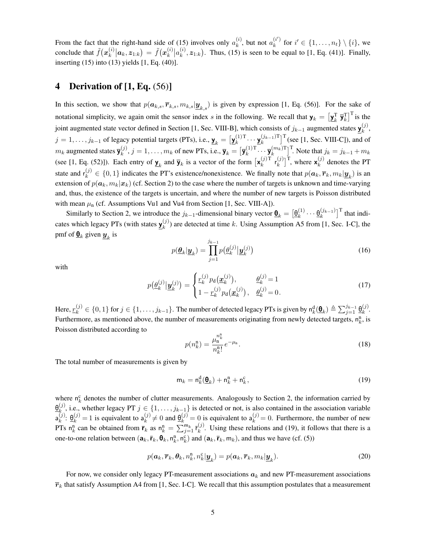From the fact that the right-hand side of (15) involves only  $a_k^{(i)}$ , but not  $a_k^{(i')}$  for  $i' \in \{1, \ldots, n_t\} \setminus \{i\}$ , we conclude that  $\tilde{f}(\mathbf{x}_k^{(i)} | \mathbf{a}_k, \mathbf{z}_{1:k}) = \tilde{f}(\mathbf{x}_k^{(i)} | a_k^{(i)}, \mathbf{z}_{1:k})$ . Thus, (15) is seen to be equal to [1, Eq. (41)]. Finally, inserting (15) into (13) yields [1, Eq. (40)].

## 4 Derivation of  $[1, Eq. (56)]$

In this section, we show that  $p(a_{k,s}, \overline{r}_{k,s}, m_{k,s} | \underline{y}_{k,s})$  is given by expression [1, Eq. (56)]. For the sake of notational simplicity, we again omit the sensor index *s* in the following. We recall that  $\mathbf{y}_k = \left[\mathbf{y}_k^{\mathrm{T}} \ \mathbf{\bar{y}}_k^{\mathrm{T}}\right]^{\mathrm{T}}$  is the joint augmented state vector defined in Section [1, Sec. VIII-B], which consists of  $j_{k-1}$  augmented states  $\underline{y}_k^{(j)}$ ,  $j = 1, \ldots, j_{k-1}$  of legacy potential targets (PTs), i.e.,  $\underline{\mathbf{y}}_k = [\underline{\mathbf{y}}_k^{(1)T} \cdots \underline{\mathbf{y}}_k^{(j_{k-1})T}]^T$  (see [1, Sec. VIII-C]), and of  $m_k$  augmented states  $\overline{\mathbf{y}}_k^{(j)}$ ,  $j = 1, \ldots, m_k$  of new PTs, i.e.,  $\overline{\mathbf{y}}_k = [\overline{\mathbf{y}}_k^{(1)T} \cdots \overline{\mathbf{y}}_k^{(m_k)T}]^T$ . Note that  $j_k = j_{k-1} + m_k$ (see [1, Eq. (52)]). Each entry of  $\underline{\mathbf{y}}_k$  and  $\overline{\mathbf{y}}_k$  is a vector of the form  $[\mathbf{x}_k^{(j)}]$ <sup>T</sup>  $\mathbf{r}_k^{(j)}$  ${k \choose k}^T$ , where  $\mathbf{x}_k^{(j)}$  denotes the PT state and  $r_k^{(j)} \in \{0,1\}$  indicates the PT's existence/nonexistence. We finally note that  $p(\mathbf{a}_k, \overline{\mathbf{r}}_k, m_k | \underline{\mathbf{y}}_k)$  is an extension of  $p(a_k, m_k | x_k)$  (cf. Section 2) to the case where the number of targets is unknown and time-varying and, thus, the existence of the targets is uncertain, and where the number of new targets is Poisson distributed with mean  $\mu_n$  (cf. Assumptions Vu1 and Vu4 from Section [1, Sec. VIII-A]).

Similarly to Section 2, we introduce the  $j_{k-1}$ -dimensional binary vector  $\underline{\mathbf{\Theta}}_k = \left[\underline{\mathbf{\Theta}}_k^{(1)} \cdots \underline{\mathbf{\Theta}}_k^{(j_{k-1})}\right]^{\mathrm{T}}$  that indicates which legacy PTs (with states  $\underline{y}_k^{(j)}$ ) are detected at time *k*. Using Assumption A5 from [1, Sec. I-C], the pmf of  $\underline{\mathbf{\Theta}}_k$  given  $\underline{\mathbf{y}}_k$  is

$$
p(\underline{\boldsymbol{\theta}}_k | \underline{\boldsymbol{y}}_k) = \prod_{j=1}^{j_{k-1}} p(\underline{\boldsymbol{\theta}}_k^{(j)} | \underline{\boldsymbol{y}}_k^{(j)})
$$
(16)

with

$$
p(\underline{\theta}_{k}^{(j)}|\underline{\mathbf{y}}_{k}^{(j)}) = \begin{cases} \underline{r}_{k}^{(j)} p_{\mathbf{d}}(\underline{\mathbf{x}}_{k}^{(j)}), & \underline{\theta}_{k}^{(j)} = 1\\ 1 - \underline{r}_{k}^{(j)} p_{\mathbf{d}}(\underline{\mathbf{x}}_{k}^{(j)}), & \underline{\theta}_{k}^{(j)} = 0. \end{cases}
$$
(17)

Here,  $r_k^{(j)} \in \{0, 1\}$  for  $j \in \{1, \ldots, j_{k-1}\}$ . The number of detected legacy PTs is given by  $n_k^d(\mathbf{\Theta}_k) \triangleq \sum_{j=1}^{j_{k-1}} \mathbf{\Theta}_k^{(j)}$ . Furthermore, as mentioned above, the number of measurements originating from newly detected targets,  $n_k^n$ , is Poisson distributed according to

$$
p(n_k^{\mathbf{n}}) = \frac{\mu_n^{n_k^{\mathbf{n}}}}{n_k^{\mathbf{n}}!} e^{-\mu_n}.
$$
 (18)

The total number of measurements is given by

$$
\mathsf{m}_k = \mathsf{n}_k^{\mathsf{d}}(\underline{\mathsf{\Theta}}_k) + \mathsf{n}_k^{\mathsf{n}} + \mathsf{n}_k^{\mathsf{c}},\tag{19}
$$

where  $n_k^c$  denotes the number of clutter measurements. Analogously to Section 2, the information carried by  $\theta_{k}^{(j)}$ , i.e., whether legacy PT  $j \in \{1, \ldots, j_{k-1}\}$  is detected or not, is also contained in the association variable  $a_k^{(j)}$ :  $\underline{\theta}_k^{(j)} = 1$  is equivalent to  $a_k^{(j)} \neq 0$  and  $\underline{\theta}_k^{(j)} = 0$  is equivalent to  $a_k^{(j)} = 0$ . Furthermore, the number of new PTs  $n_k^n$  can be obtained from  $\bar{r}_k$  as  $n_k^n = \sum_{j=1}^{m_k} \bar{r}_k^{(j)}$ . Using these relations and (19), it follows that there is a one-to-one relation between  $(a_k, \bar{r}_k, \theta_k, n_k^{\text{R}}, n_k^{\text{C}})$  and  $(a_k, \bar{r}_k, m_k)$ , and thus we have (cf. (5))

$$
p(\mathbf{a}_k, \overline{\mathbf{r}}_k, \mathbf{\theta}_k, n_k^n, n_k^n | \underline{\mathbf{y}}_k) = p(\mathbf{a}_k, \overline{\mathbf{r}}_k, m_k | \underline{\mathbf{y}}_k).
$$
 (20)

For now, we consider only legacy PT-measurement associations  $a_k$  and new PT-measurement associations  $\bar{r}_k$  that satisfy Assumption A4 from [1, Sec. I-C]. We recall that this assumption postulates that a measurement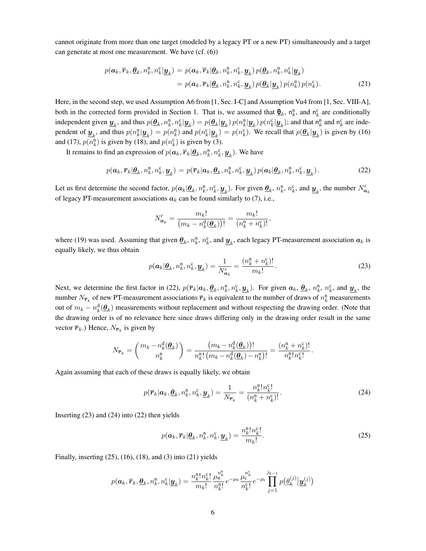cannot originate from more than one target (modeled by a legacy PT or a new PT) simultaneously and a target can generate at most one measurement. We have (cf. (6))

$$
p(\mathbf{a}_k, \overline{\mathbf{r}}_k, \underline{\boldsymbol{\theta}}_k, n_k^n, n_k^n | \underline{\boldsymbol{y}}_k) = p(\mathbf{a}_k, \overline{\mathbf{r}}_k | \underline{\boldsymbol{\theta}}_k, n_k^n, n_k^c, \underline{\boldsymbol{y}}_k) p(\underline{\boldsymbol{\theta}}_k, n_k^n, n_k^c | \underline{\boldsymbol{y}}_k)
$$
  
=  $p(\mathbf{a}_k, \overline{\mathbf{r}}_k | \underline{\boldsymbol{\theta}}_k, n_k^n, n_k^c, \underline{\boldsymbol{y}}_k) p(\underline{\boldsymbol{\theta}}_k | \underline{\boldsymbol{y}}_k) p(n_k^n) p(n_k^c).$  (21)

Here, in the second step, we used Assumption A6 from [1, Sec. I-C] and Assumption Vu4 from [1, Sec. VIII-A], both in the corrected form provided in Section 1. That is, we assumed that  $\underline{\mathbf{\Theta}}_k$ ,  $n_k^n$ , and  $n_k^c$  are conditionally independent given  $\underline{\mathbf{y}}_k$ , and thus  $p(\underline{\theta}_k, n_k^n, n_k^c | \underline{\mathbf{y}}_k) = p(\underline{\theta}_k | \underline{\mathbf{y}}_k) p(n_k^n | \underline{\mathbf{y}}_k) p(n_k^c | \underline{\mathbf{y}}_k)$ ; and that  $n_k^n$  and  $n_k^c$  are independent of  $\underline{\mathbf{y}}_k$ , and thus  $p(n_k^n | \underline{\mathbf{y}}_k) = p(n_k^n)$  and  $p(n_k^c | \underline{\mathbf{y}}_k) = p(n_k^c)$ . We recall that  $p(\underline{\theta}_k | \underline{\mathbf{y}}_k)$  is given by (16) and (17),  $p(n_k^n)$  is given by (18), and  $p(n_k^c)$  is given by (3).

It remains to find an expression of  $p(\boldsymbol{a}_k, \overline{\boldsymbol{r}}_k | \underline{\boldsymbol{\theta}}_k, n_k^n, n_k^c, \underline{\boldsymbol{y}}_k)$ . We have

$$
p(\boldsymbol{a}_k, \overline{\boldsymbol{r}}_k | \underline{\boldsymbol{\theta}}_k, n_k^n, n_k^c, \underline{\boldsymbol{y}}_k) = p(\overline{\boldsymbol{r}}_k | \boldsymbol{a}_k, \underline{\boldsymbol{\theta}}_k, n_k^n, n_k^c, \underline{\boldsymbol{y}}_k) p(\boldsymbol{a}_k | \underline{\boldsymbol{\theta}}_k, n_k^n, n_k^c, \underline{\boldsymbol{y}}_k).
$$
 (22)

Let us first determine the second factor,  $p(a_k|\underline{\theta}_k, n_k^n, n_k^c, \underline{\boldsymbol{y}}_k)$ . For given  $\underline{\theta}_k$ ,  $n_k^n$ ,  $n_k^c$ , and  $\underline{\boldsymbol{y}}_k$ , the number  $N'_{a_k}$ of legacy PT-measurement associations  $a_k$  can be found similarly to (7), i.e.,

$$
N'_{a_k} = \frac{m_k!}{(m_k - n_k^{\rm d}(\underline{\theta}_k))!} = \frac{m_k!}{(n_k^{\rm n} + n_k^{\rm c})!},
$$

where (19) was used. Assuming that given  $\underline{\theta}_k$ ,  $n_k^{\text{r}}$ ,  $n_k^{\text{c}}$ , and  $\underline{y}_k$ , each legacy PT-measurement association  $a_k$  is equally likely, we thus obtain

$$
p(\boldsymbol{a}_k|\underline{\boldsymbol{\theta}}_k, n_k^n, n_k^c, \underline{\boldsymbol{y}}_k) = \frac{1}{N'_{\boldsymbol{a}_k}} = \frac{(n_k^n + n_k^c)!}{m_k!}.
$$
 (23)

Next, we determine the first factor in (22),  $p(\overline{r}_k | a_k, \underline{\theta}_k, n_k^n, n_k^c, \underline{\boldsymbol{y}}_k)$ . For given  $a_k, \underline{\boldsymbol{\theta}}_k, n_k^n, n_k^c$ , and  $\underline{\boldsymbol{y}}_k$ , the number  $N_{\overline{r}_k}$  of new PT-measurement associations  $\overline{r}_k$  is equivalent to the number of draws of  $n_k^n$  measurements out of  $m_k - n_k^d(\mathbf{\theta}_k)$  measurements without replacement and without respecting the drawing order. (Note that the drawing order is of no relevance here since draws differing only in the drawing order result in the same vector  $\overline{r}_k$ .) Hence,  $N_{\overline{r}_k}$  is given by

$$
N_{\overline{r}_k} = \binom{m_k - n_k^{\text{d}}(\underline{\theta}_k)}{n_k^{\text{n}}} = \frac{(m_k - n_k^{\text{d}}(\underline{\theta}_k))!}{n_k^{\text{n}!} (m_k - n_k^{\text{d}}(\underline{\theta}_k) - n_k^{\text{n}})!} = \frac{(n_k^{\text{n}} + n_k^{\text{c}})!}{n_k^{\text{n}!} n_k^{\text{c}!}}.
$$

Again assuming that each of these draws is equally likely, we obtain

$$
p(\overline{\boldsymbol{r}}_k|\boldsymbol{a}_k,\underline{\boldsymbol{\theta}}_k,n_k^n,n_k^c,\underline{\boldsymbol{y}}_k) = \frac{1}{N_{\overline{\boldsymbol{r}}_k}} = \frac{n_k^n! n_k^c!}{(n_k^n + n_k^c)!}.
$$
 (24)

Inserting (23) and (24) into (22) then yields

$$
p(\boldsymbol{a}_k, \overline{\boldsymbol{r}}_k | \underline{\boldsymbol{\theta}}_k, n_k^n, n_k^c, \underline{\boldsymbol{y}}_k) = \frac{n_k^n! n_k^c!}{m_k!}.
$$
 (25)

Finally, inserting  $(25)$ ,  $(16)$ ,  $(18)$ , and  $(3)$  into  $(21)$  yields

$$
p(\boldsymbol{a}_k, \overline{\boldsymbol{r}}_k, \underline{\boldsymbol{\theta}}_k, n_k^n, n_k^{\mathrm{c}} | \underline{\boldsymbol{y}}_k) = \frac{n_k^n! n_k^{\mathrm{c}}}{m_k!} \frac{\mu_k^{n_k^n}}{n_k^n!} e^{-\mu_n} \frac{\mu_k^{n_k^{\mathrm{c}}}}{n_k^{\mathrm{c}}!} e^{-\mu_{\mathrm{c}}} \prod_{j=1}^{j_{k-1}} p(\underline{\boldsymbol{\theta}}_k^{(j)} | \underline{\boldsymbol{y}}_k^{(j)})
$$